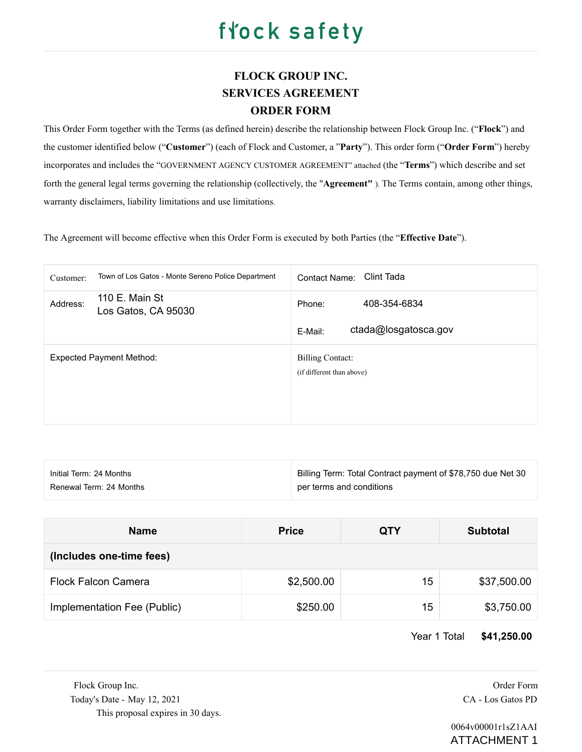### **FLOCK GROUP INC. SERVICES AGREEMENT ORDER FORM**

This Order Form together with the Terms (as defined herein) describe the relationship between Flock Group Inc. ("**Flock**") and the customer identified below ("**Customer**") (each of Flock and Customer, a "**Party**"). This order form ("**Order Form**") hereby incorporates and includes the "GOVERNMENT AGENCY CUSTOMER AGREEMENT" attached (the "**Terms**") which describe and set forth the general legal terms governing the relationship (collectively, the "**Agreement"** ). The Terms contain, among other things, warranty disclaimers, liability limitations and use limitations.

The Agreement will become effective when this Order Form is executed by both Parties (the "**Effective Date**").

| Town of Los Gatos - Monte Sereno Police Department<br>Customer: | Clint Tada<br>Contact Name:                               |
|-----------------------------------------------------------------|-----------------------------------------------------------|
| 110 E. Main St<br>Address:<br>Los Gatos, CA 95030               | 408-354-6834<br>Phone:<br>ctada@losgatosca.gov<br>E-Mail: |
| <b>Expected Payment Method:</b>                                 | <b>Billing Contact:</b><br>(if different than above)      |

| Initial Term: 24 Months | Billing Term: Total Contract payment of \$78,750 due Net 30 |
|-------------------------|-------------------------------------------------------------|
| Renewal Term: 24 Months | per terms and conditions                                    |

| <b>Name</b>                 | <b>Price</b> | <b>QTY</b> | <b>Subtotal</b> |  |  |
|-----------------------------|--------------|------------|-----------------|--|--|
| (Includes one-time fees)    |              |            |                 |  |  |
| <b>Flock Falcon Camera</b>  | \$2,500.00   | 15         | \$37,500.00     |  |  |
| Implementation Fee (Public) | \$250.00     | 15         | \$3,750.00      |  |  |

Year 1 Total **\$41,250.00**

Flock Group Inc. **Order Form Order Form Order Form Order Form** Today's Date - May 12, 2021 CA - Los Gatos PD This proposal expires in 30 days.

 0064v00001r1sZ1AAI ATTACHMENT 1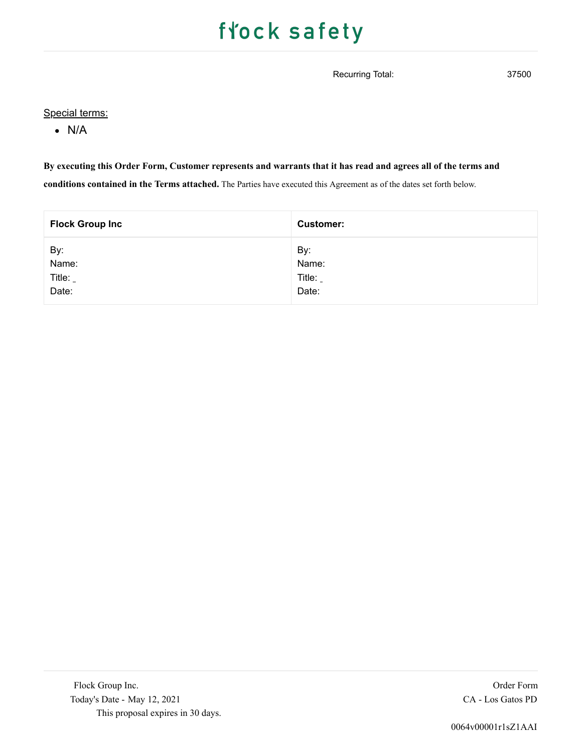Recurring Total: 37500

### Special terms:

N/A

### **By executing this Order Form, Customer represents and warrants that it has read and agrees all of the terms and**

**conditions contained in the Terms attached.** The Parties have executed this Agreement as of the dates set forth below.

| <b>Flock Group Inc</b> | <b>Customer:</b> |
|------------------------|------------------|
| By:                    | By:              |
| Name:                  | Name:            |
| Title:                 | Title:           |
| Date:                  | Date:            |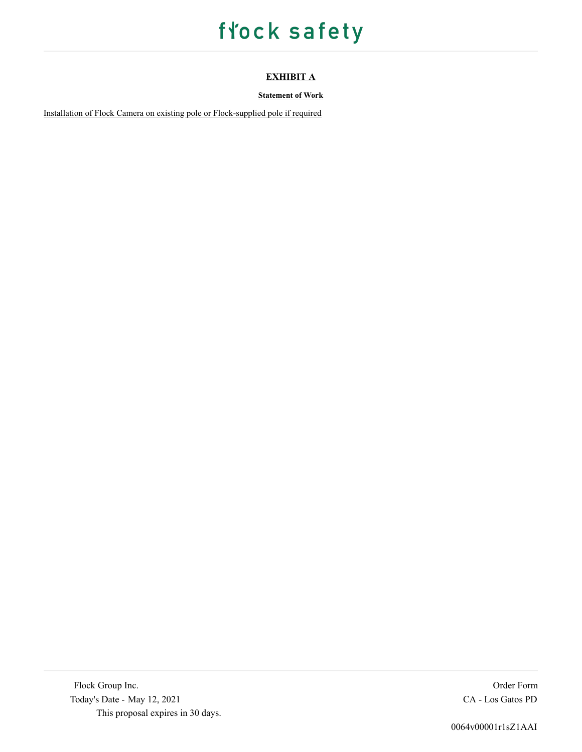### **EXHIBIT A**

### **Statement of Work**

Installation of Flock Camera on existing pole or Flock-supplied pole if required

Flock Group Inc. Order Form Order Form Today's Date - May 12, 2021 CA - Los Gatos PD This proposal expires in 30 days.

0064v00001r1sZ1AAI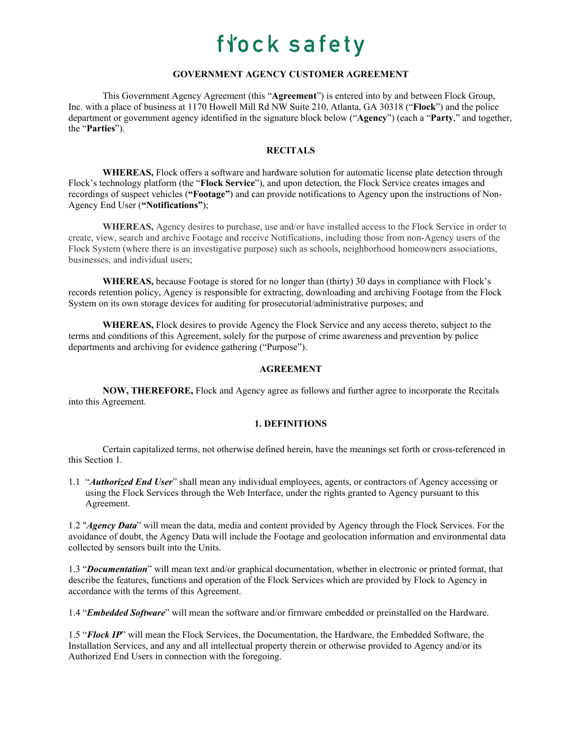### **GOVERNMENT AGENCY CUSTOMER AGREEMENT**

This Government Agency Agreement (this "**Agreement**") is entered into by and between Flock Group, Inc. with a place of business at 1170 Howell Mill Rd NW Suite 210, Atlanta, GA 30318 ("**Flock**") and the police department or government agency identified in the signature block below ("**Agency**") (each a "**Party**," and together, the "**Parties**").

#### **RECITALS**

**WHEREAS,** Flock offers a software and hardware solution for automatic license plate detection through Flock's technology platform (the "**Flock Service**"), and upon detection, the Flock Service creates images and recordings of suspect vehicles (**"Footage"**) and can provide notifications to Agency upon the instructions of Non-Agency End User (**"Notifications"**);

**WHEREAS,** Agency desires to purchase, use and/or have installed access to the Flock Service in order to create, view, search and archive Footage and receive Notifications, including those from non-Agency users of the Flock System (where there is an investigative purpose) such as schools, neighborhood homeowners associations, businesses, and individual users;

**WHEREAS,** because Footage is stored for no longer than (thirty) 30 days in compliance with Flock's records retention policy, Agency is responsible for extracting, downloading and archiving Footage from the Flock System on its own storage devices for auditing for prosecutorial/administrative purposes; and

**WHEREAS,** Flock desires to provide Agency the Flock Service and any access thereto, subject to the terms and conditions of this Agreement, solely for the purpose of crime awareness and prevention by police departments and archiving for evidence gathering ("Purpose").

### **AGREEMENT**

**NOW, THEREFORE,** Flock and Agency agree as follows and further agree to incorporate the Recitals into this Agreement.

#### **1. DEFINITIONS**

Certain capitalized terms, not otherwise defined herein, have the meanings set forth or cross-referenced in this Section 1.

1.1 "*Authorized End User*" shall mean any individual employees, agents, or contractors of Agency accessing or using the Flock Services through the Web Interface, under the rights granted to Agency pursuant to this Agreement.

1.2 "*Agency Data*" will mean the data, media and content provided by Agency through the Flock Services. For the avoidance of doubt, the Agency Data will include the Footage and geolocation information and environmental data collected by sensors built into the Units.

1.3 "*Documentation*" will mean text and/or graphical documentation, whether in electronic or printed format, that describe the features, functions and operation of the Flock Services which are provided by Flock to Agency in accordance with the terms of this Agreement.

1.4 "*Embedded Software*" will mean the software and/or firmware embedded or preinstalled on the Hardware.

1.5 "*Flock IP*" will mean the Flock Services, the Documentation, the Hardware, the Embedded Software, the Installation Services, and any and all intellectual property therein or otherwise provided to Agency and/or its Authorized End Users in connection with the foregoing.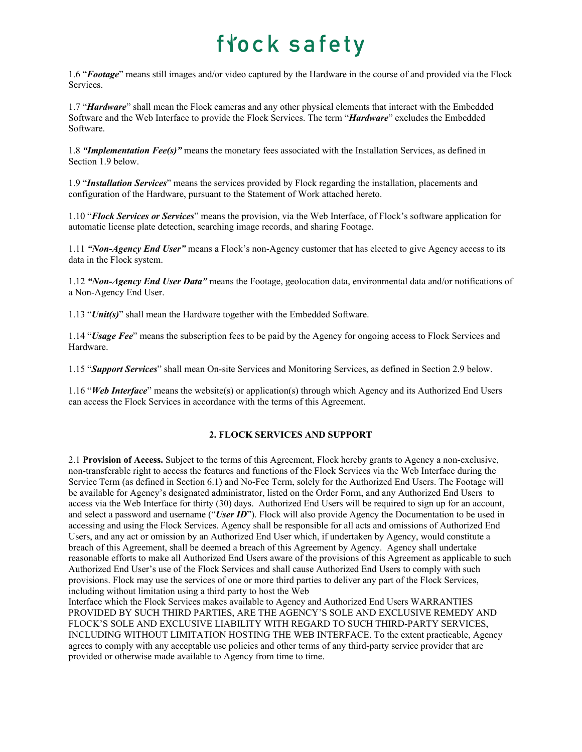1.6 "*Footage*" means still images and/or video captured by the Hardware in the course of and provided via the Flock Services.

1.7 "*Hardware*" shall mean the Flock cameras and any other physical elements that interact with the Embedded Software and the Web Interface to provide the Flock Services. The term "*Hardware*" excludes the Embedded Software.

1.8 *"Implementation Fee(s)"* means the monetary fees associated with the Installation Services, as defined in Section 1.9 below.

1.9 "*Installation Services*" means the services provided by Flock regarding the installation, placements and configuration of the Hardware, pursuant to the Statement of Work attached hereto.

1.10 "*Flock Services or Services*" means the provision, via the Web Interface, of Flock's software application for automatic license plate detection, searching image records, and sharing Footage.

1.11 *"Non-Agency End User"* means a Flock's non-Agency customer that has elected to give Agency access to its data in the Flock system.

1.12 *"Non-Agency End User Data"* means the Footage, geolocation data, environmental data and/or notifications of a Non-Agency End User.

1.13 "*Unit(s)*" shall mean the Hardware together with the Embedded Software.

1.14 "*Usage Fee*" means the subscription fees to be paid by the Agency for ongoing access to Flock Services and Hardware.

1.15 "*Support Services*" shall mean On-site Services and Monitoring Services, as defined in Section 2.9 below.

1.16 "*Web Interface*" means the website(s) or application(s) through which Agency and its Authorized End Users can access the Flock Services in accordance with the terms of this Agreement.

#### **2. FLOCK SERVICES AND SUPPORT**

2.1 **Provision of Access.** Subject to the terms of this Agreement, Flock hereby grants to Agency a non-exclusive, non-transferable right to access the features and functions of the Flock Services via the Web Interface during the Service Term (as defined in Section 6.1) and No-Fee Term, solely for the Authorized End Users. The Footage will be available for Agency's designated administrator, listed on the Order Form, and any Authorized End Users to access via the Web Interface for thirty (30) days. Authorized End Users will be required to sign up for an account, and select a password and username ("*User ID*"). Flock will also provide Agency the Documentation to be used in accessing and using the Flock Services. Agency shall be responsible for all acts and omissions of Authorized End Users, and any act or omission by an Authorized End User which, if undertaken by Agency, would constitute a breach of this Agreement, shall be deemed a breach of this Agreement by Agency. Agency shall undertake reasonable efforts to make all Authorized End Users aware of the provisions of this Agreement as applicable to such Authorized End User's use of the Flock Services and shall cause Authorized End Users to comply with such provisions. Flock may use the services of one or more third parties to deliver any part of the Flock Services, including without limitation using a third party to host the Web

Interface which the Flock Services makes available to Agency and Authorized End Users WARRANTIES PROVIDED BY SUCH THIRD PARTIES, ARE THE AGENCY'S SOLE AND EXCLUSIVE REMEDY AND FLOCK'S SOLE AND EXCLUSIVE LIABILITY WITH REGARD TO SUCH THIRD-PARTY SERVICES, INCLUDING WITHOUT LIMITATION HOSTING THE WEB INTERFACE. To the extent practicable, Agency agrees to comply with any acceptable use policies and other terms of any third-party service provider that are provided or otherwise made available to Agency from time to time.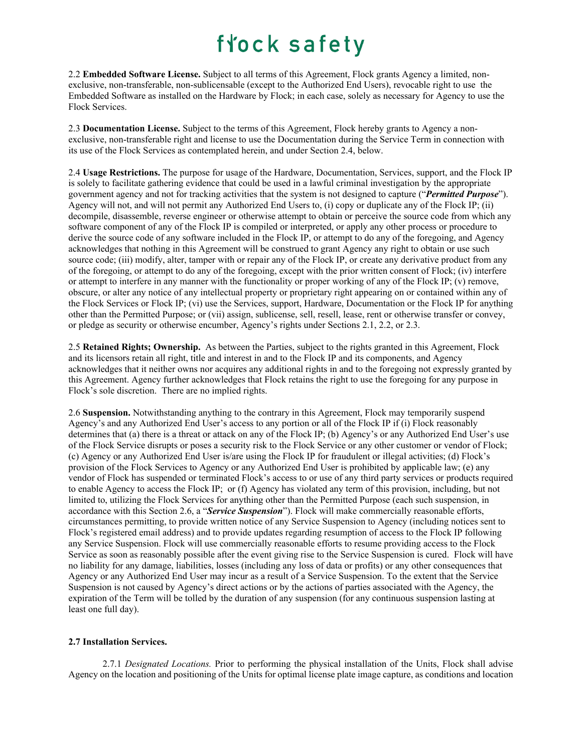2.2 **Embedded Software License.** Subject to all terms of this Agreement, Flock grants Agency a limited, nonexclusive, non-transferable, non-sublicensable (except to the Authorized End Users), revocable right to use the Embedded Software as installed on the Hardware by Flock; in each case, solely as necessary for Agency to use the Flock Services.

2.3 **Documentation License.** Subject to the terms of this Agreement, Flock hereby grants to Agency a nonexclusive, non-transferable right and license to use the Documentation during the Service Term in connection with its use of the Flock Services as contemplated herein, and under Section 2.4, below.

2.4 **Usage Restrictions.** The purpose for usage of the Hardware, Documentation, Services, support, and the Flock IP is solely to facilitate gathering evidence that could be used in a lawful criminal investigation by the appropriate government agency and not for tracking activities that the system is not designed to capture ("*Permitted Purpose*"). Agency will not, and will not permit any Authorized End Users to, (i) copy or duplicate any of the Flock IP; (ii) decompile, disassemble, reverse engineer or otherwise attempt to obtain or perceive the source code from which any software component of any of the Flock IP is compiled or interpreted, or apply any other process or procedure to derive the source code of any software included in the Flock IP, or attempt to do any of the foregoing, and Agency acknowledges that nothing in this Agreement will be construed to grant Agency any right to obtain or use such source code; (iii) modify, alter, tamper with or repair any of the Flock IP, or create any derivative product from any of the foregoing, or attempt to do any of the foregoing, except with the prior written consent of Flock; (iv) interfere or attempt to interfere in any manner with the functionality or proper working of any of the Flock IP; (v) remove, obscure, or alter any notice of any intellectual property or proprietary right appearing on or contained within any of the Flock Services or Flock IP; (vi) use the Services, support, Hardware, Documentation or the Flock IP for anything other than the Permitted Purpose; or (vii) assign, sublicense, sell, resell, lease, rent or otherwise transfer or convey, or pledge as security or otherwise encumber, Agency's rights under Sections 2.1, 2.2, or 2.3.

2.5 **Retained Rights; Ownership.** As between the Parties, subject to the rights granted in this Agreement, Flock and its licensors retain all right, title and interest in and to the Flock IP and its components, and Agency acknowledges that it neither owns nor acquires any additional rights in and to the foregoing not expressly granted by this Agreement. Agency further acknowledges that Flock retains the right to use the foregoing for any purpose in Flock's sole discretion. There are no implied rights.

2.6 **Suspension.** Notwithstanding anything to the contrary in this Agreement, Flock may temporarily suspend Agency's and any Authorized End User's access to any portion or all of the Flock IP if (i) Flock reasonably determines that (a) there is a threat or attack on any of the Flock IP; (b) Agency's or any Authorized End User's use of the Flock Service disrupts or poses a security risk to the Flock Service or any other customer or vendor of Flock; (c) Agency or any Authorized End User is/are using the Flock IP for fraudulent or illegal activities; (d) Flock's provision of the Flock Services to Agency or any Authorized End User is prohibited by applicable law; (e) any vendor of Flock has suspended or terminated Flock's access to or use of any third party services or products required to enable Agency to access the Flock IP; or (f) Agency has violated any term of this provision, including, but not limited to, utilizing the Flock Services for anything other than the Permitted Purpose (each such suspension, in accordance with this Section 2.6, a "*Service Suspension*"). Flock will make commercially reasonable efforts, circumstances permitting, to provide written notice of any Service Suspension to Agency (including notices sent to Flock's registered email address) and to provide updates regarding resumption of access to the Flock IP following any Service Suspension. Flock will use commercially reasonable efforts to resume providing access to the Flock Service as soon as reasonably possible after the event giving rise to the Service Suspension is cured. Flock will have no liability for any damage, liabilities, losses (including any loss of data or profits) or any other consequences that Agency or any Authorized End User may incur as a result of a Service Suspension. To the extent that the Service Suspension is not caused by Agency's direct actions or by the actions of parties associated with the Agency, the expiration of the Term will be tolled by the duration of any suspension (for any continuous suspension lasting at least one full day).

#### **2.7 Installation Services.**

2.7.1 *Designated Locations.* Prior to performing the physical installation of the Units, Flock shall advise Agency on the location and positioning of the Units for optimal license plate image capture, as conditions and location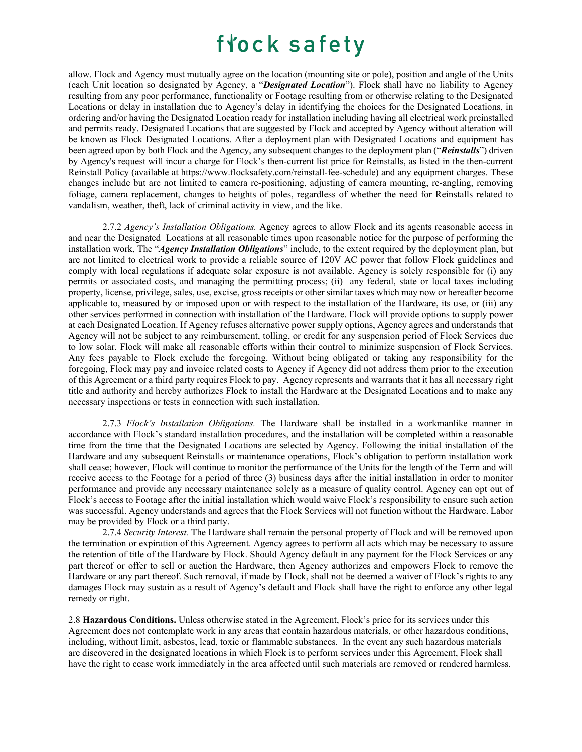allow. Flock and Agency must mutually agree on the location (mounting site or pole), position and angle of the Units (each Unit location so designated by Agency, a "*Designated Location*"). Flock shall have no liability to Agency resulting from any poor performance, functionality or Footage resulting from or otherwise relating to the Designated Locations or delay in installation due to Agency's delay in identifying the choices for the Designated Locations, in ordering and/or having the Designated Location ready for installation including having all electrical work preinstalled and permits ready. Designated Locations that are suggested by Flock and accepted by Agency without alteration will be known as Flock Designated Locations. After a deployment plan with Designated Locations and equipment has been agreed upon by both Flock and the Agency, any subsequent changes to the deployment plan ("*Reinstalls*") driven by Agency's request will incur a charge for Flock's then-current list price for Reinstalls, as listed in the then-current Reinstall Policy (available at https://www.flocksafety.com/reinstall-fee-schedule) and any equipment charges. These changes include but are not limited to camera re-positioning, adjusting of camera mounting, re-angling, removing foliage, camera replacement, changes to heights of poles, regardless of whether the need for Reinstalls related to vandalism, weather, theft, lack of criminal activity in view, and the like.

2.7.2 *Agency's Installation Obligations.* Agency agrees to allow Flock and its agents reasonable access in and near the Designated Locations at all reasonable times upon reasonable notice for the purpose of performing the installation work, The "*Agency Installation Obligations*" include, to the extent required by the deployment plan, but are not limited to electrical work to provide a reliable source of 120V AC power that follow Flock guidelines and comply with local regulations if adequate solar exposure is not available. Agency is solely responsible for (i) any permits or associated costs, and managing the permitting process; (ii) any federal, state or local taxes including property, license, privilege, sales, use, excise, gross receipts or other similar taxes which may now or hereafter become applicable to, measured by or imposed upon or with respect to the installation of the Hardware, its use, or (iii) any other services performed in connection with installation of the Hardware. Flock will provide options to supply power at each Designated Location. If Agency refuses alternative power supply options, Agency agrees and understands that Agency will not be subject to any reimbursement, tolling, or credit for any suspension period of Flock Services due to low solar. Flock will make all reasonable efforts within their control to minimize suspension of Flock Services. Any fees payable to Flock exclude the foregoing. Without being obligated or taking any responsibility for the foregoing, Flock may pay and invoice related costs to Agency if Agency did not address them prior to the execution of this Agreement or a third party requires Flock to pay. Agency represents and warrants that it has all necessary right title and authority and hereby authorizes Flock to install the Hardware at the Designated Locations and to make any necessary inspections or tests in connection with such installation.

2.7.3 *Flock's Installation Obligations.* The Hardware shall be installed in a workmanlike manner in accordance with Flock's standard installation procedures, and the installation will be completed within a reasonable time from the time that the Designated Locations are selected by Agency. Following the initial installation of the Hardware and any subsequent Reinstalls or maintenance operations, Flock's obligation to perform installation work shall cease; however, Flock will continue to monitor the performance of the Units for the length of the Term and will receive access to the Footage for a period of three (3) business days after the initial installation in order to monitor performance and provide any necessary maintenance solely as a measure of quality control. Agency can opt out of Flock's access to Footage after the initial installation which would waive Flock's responsibility to ensure such action was successful. Agency understands and agrees that the Flock Services will not function without the Hardware. Labor may be provided by Flock or a third party.

2.7.4 *Security Interest.* The Hardware shall remain the personal property of Flock and will be removed upon the termination or expiration of this Agreement. Agency agrees to perform all acts which may be necessary to assure the retention of title of the Hardware by Flock. Should Agency default in any payment for the Flock Services or any part thereof or offer to sell or auction the Hardware, then Agency authorizes and empowers Flock to remove the Hardware or any part thereof. Such removal, if made by Flock, shall not be deemed a waiver of Flock's rights to any damages Flock may sustain as a result of Agency's default and Flock shall have the right to enforce any other legal remedy or right.

2.8 **Hazardous Conditions.** Unless otherwise stated in the Agreement, Flock's price for its services under this Agreement does not contemplate work in any areas that contain hazardous materials, or other hazardous conditions, including, without limit, asbestos, lead, toxic or flammable substances. In the event any such hazardous materials are discovered in the designated locations in which Flock is to perform services under this Agreement, Flock shall have the right to cease work immediately in the area affected until such materials are removed or rendered harmless.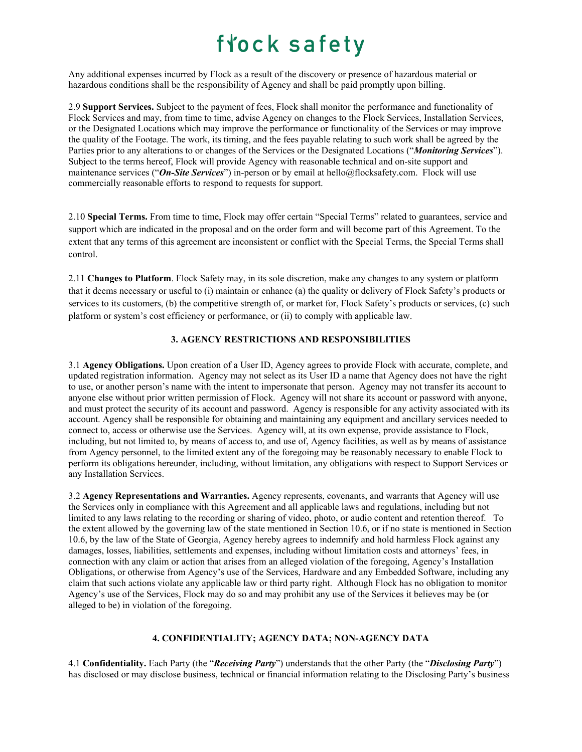Any additional expenses incurred by Flock as a result of the discovery or presence of hazardous material or hazardous conditions shall be the responsibility of Agency and shall be paid promptly upon billing.

2.9 **Support Services.** Subject to the payment of fees, Flock shall monitor the performance and functionality of Flock Services and may, from time to time, advise Agency on changes to the Flock Services, Installation Services, or the Designated Locations which may improve the performance or functionality of the Services or may improve the quality of the Footage. The work, its timing, and the fees payable relating to such work shall be agreed by the Parties prior to any alterations to or changes of the Services or the Designated Locations ("*Monitoring Services*"). Subject to the terms hereof, Flock will provide Agency with reasonable technical and on-site support and maintenance services ("*On-Site Services*") in-person or by email at hello@flocksafety.com. Flock will use commercially reasonable efforts to respond to requests for support.

2.10 **Special Terms.** From time to time, Flock may offer certain "Special Terms" related to guarantees, service and support which are indicated in the proposal and on the order form and will become part of this Agreement. To the extent that any terms of this agreement are inconsistent or conflict with the Special Terms, the Special Terms shall control.

2.11 **Changes to Platform**. Flock Safety may, in its sole discretion, make any changes to any system or platform that it deems necessary or useful to (i) maintain or enhance (a) the quality or delivery of Flock Safety's products or services to its customers, (b) the competitive strength of, or market for, Flock Safety's products or services, (c) such platform or system's cost efficiency or performance, or (ii) to comply with applicable law.

### **3. AGENCY RESTRICTIONS AND RESPONSIBILITIES**

3.1 **Agency Obligations.** Upon creation of a User ID, Agency agrees to provide Flock with accurate, complete, and updated registration information. Agency may not select as its User ID a name that Agency does not have the right to use, or another person's name with the intent to impersonate that person. Agency may not transfer its account to anyone else without prior written permission of Flock. Agency will not share its account or password with anyone, and must protect the security of its account and password. Agency is responsible for any activity associated with its account. Agency shall be responsible for obtaining and maintaining any equipment and ancillary services needed to connect to, access or otherwise use the Services. Agency will, at its own expense, provide assistance to Flock, including, but not limited to, by means of access to, and use of, Agency facilities, as well as by means of assistance from Agency personnel, to the limited extent any of the foregoing may be reasonably necessary to enable Flock to perform its obligations hereunder, including, without limitation, any obligations with respect to Support Services or any Installation Services.

3.2 **Agency Representations and Warranties.** Agency represents, covenants, and warrants that Agency will use the Services only in compliance with this Agreement and all applicable laws and regulations, including but not limited to any laws relating to the recording or sharing of video, photo, or audio content and retention thereof. To the extent allowed by the governing law of the state mentioned in Section 10.6, or if no state is mentioned in Section 10.6, by the law of the State of Georgia, Agency hereby agrees to indemnify and hold harmless Flock against any damages, losses, liabilities, settlements and expenses, including without limitation costs and attorneys' fees, in connection with any claim or action that arises from an alleged violation of the foregoing, Agency's Installation Obligations, or otherwise from Agency's use of the Services, Hardware and any Embedded Software, including any claim that such actions violate any applicable law or third party right. Although Flock has no obligation to monitor Agency's use of the Services, Flock may do so and may prohibit any use of the Services it believes may be (or alleged to be) in violation of the foregoing.

#### **4. CONFIDENTIALITY; AGENCY DATA; NON-AGENCY DATA**

4.1 **Confidentiality.** Each Party (the "*Receiving Party*") understands that the other Party (the "*Disclosing Party*") has disclosed or may disclose business, technical or financial information relating to the Disclosing Party's business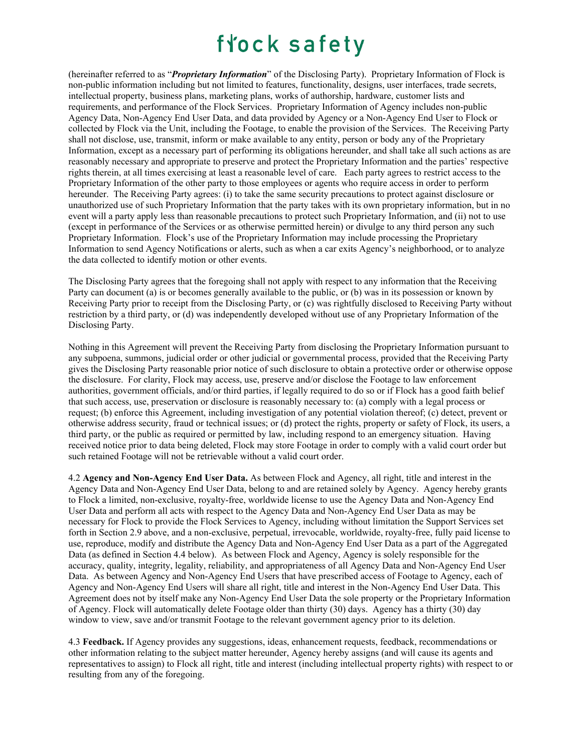(hereinafter referred to as "*Proprietary Information*" of the Disclosing Party). Proprietary Information of Flock is non-public information including but not limited to features, functionality, designs, user interfaces, trade secrets, intellectual property, business plans, marketing plans, works of authorship, hardware, customer lists and requirements, and performance of the Flock Services. Proprietary Information of Agency includes non-public Agency Data, Non-Agency End User Data, and data provided by Agency or a Non-Agency End User to Flock or collected by Flock via the Unit, including the Footage, to enable the provision of the Services. The Receiving Party shall not disclose, use, transmit, inform or make available to any entity, person or body any of the Proprietary Information, except as a necessary part of performing its obligations hereunder, and shall take all such actions as are reasonably necessary and appropriate to preserve and protect the Proprietary Information and the parties' respective rights therein, at all times exercising at least a reasonable level of care. Each party agrees to restrict access to the Proprietary Information of the other party to those employees or agents who require access in order to perform hereunder. The Receiving Party agrees: (i) to take the same security precautions to protect against disclosure or unauthorized use of such Proprietary Information that the party takes with its own proprietary information, but in no event will a party apply less than reasonable precautions to protect such Proprietary Information, and (ii) not to use (except in performance of the Services or as otherwise permitted herein) or divulge to any third person any such Proprietary Information. Flock's use of the Proprietary Information may include processing the Proprietary Information to send Agency Notifications or alerts, such as when a car exits Agency's neighborhood, or to analyze the data collected to identify motion or other events.

The Disclosing Party agrees that the foregoing shall not apply with respect to any information that the Receiving Party can document (a) is or becomes generally available to the public, or (b) was in its possession or known by Receiving Party prior to receipt from the Disclosing Party, or (c) was rightfully disclosed to Receiving Party without restriction by a third party, or (d) was independently developed without use of any Proprietary Information of the Disclosing Party.

Nothing in this Agreement will prevent the Receiving Party from disclosing the Proprietary Information pursuant to any subpoena, summons, judicial order or other judicial or governmental process, provided that the Receiving Party gives the Disclosing Party reasonable prior notice of such disclosure to obtain a protective order or otherwise oppose the disclosure. For clarity, Flock may access, use, preserve and/or disclose the Footage to law enforcement authorities, government officials, and/or third parties, if legally required to do so or if Flock has a good faith belief that such access, use, preservation or disclosure is reasonably necessary to: (a) comply with a legal process or request; (b) enforce this Agreement, including investigation of any potential violation thereof; (c) detect, prevent or otherwise address security, fraud or technical issues; or (d) protect the rights, property or safety of Flock, its users, a third party, or the public as required or permitted by law, including respond to an emergency situation. Having received notice prior to data being deleted, Flock may store Footage in order to comply with a valid court order but such retained Footage will not be retrievable without a valid court order.

4.2 **Agency and Non-Agency End User Data.** As between Flock and Agency, all right, title and interest in the Agency Data and Non-Agency End User Data, belong to and are retained solely by Agency. Agency hereby grants to Flock a limited, non-exclusive, royalty-free, worldwide license to use the Agency Data and Non-Agency End User Data and perform all acts with respect to the Agency Data and Non-Agency End User Data as may be necessary for Flock to provide the Flock Services to Agency, including without limitation the Support Services set forth in Section 2.9 above, and a non-exclusive, perpetual, irrevocable, worldwide, royalty-free, fully paid license to use, reproduce, modify and distribute the Agency Data and Non-Agency End User Data as a part of the Aggregated Data (as defined in Section 4.4 below). As between Flock and Agency, Agency is solely responsible for the accuracy, quality, integrity, legality, reliability, and appropriateness of all Agency Data and Non-Agency End User Data. As between Agency and Non-Agency End Users that have prescribed access of Footage to Agency, each of Agency and Non-Agency End Users will share all right, title and interest in the Non-Agency End User Data. This Agreement does not by itself make any Non-Agency End User Data the sole property or the Proprietary Information of Agency. Flock will automatically delete Footage older than thirty (30) days. Agency has a thirty (30) day window to view, save and/or transmit Footage to the relevant government agency prior to its deletion.

4.3 **Feedback.** If Agency provides any suggestions, ideas, enhancement requests, feedback, recommendations or other information relating to the subject matter hereunder, Agency hereby assigns (and will cause its agents and representatives to assign) to Flock all right, title and interest (including intellectual property rights) with respect to or resulting from any of the foregoing.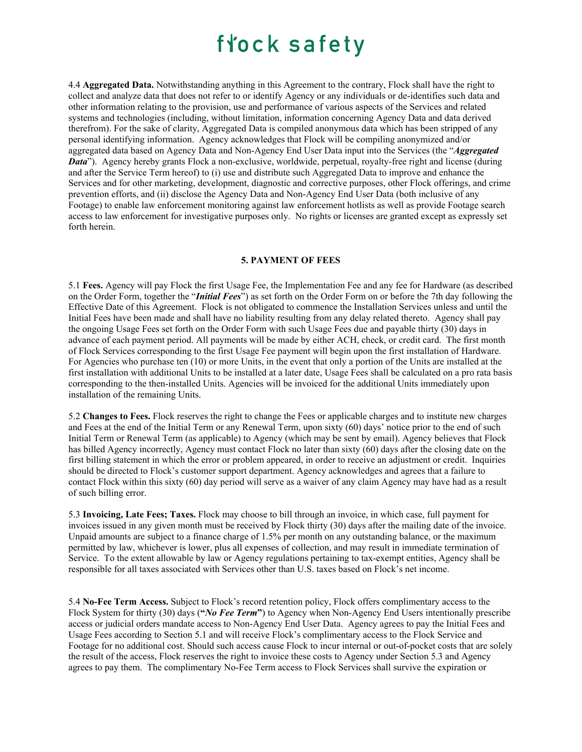4.4 **Aggregated Data.** Notwithstanding anything in this Agreement to the contrary, Flock shall have the right to collect and analyze data that does not refer to or identify Agency or any individuals or de-identifies such data and other information relating to the provision, use and performance of various aspects of the Services and related systems and technologies (including, without limitation, information concerning Agency Data and data derived therefrom). For the sake of clarity, Aggregated Data is compiled anonymous data which has been stripped of any personal identifying information. Agency acknowledges that Flock will be compiling anonymized and/or aggregated data based on Agency Data and Non-Agency End User Data input into the Services (the "*Aggregated Data*"). Agency hereby grants Flock a non-exclusive, worldwide, perpetual, royalty-free right and license (during and after the Service Term hereof) to (i) use and distribute such Aggregated Data to improve and enhance the Services and for other marketing, development, diagnostic and corrective purposes, other Flock offerings, and crime prevention efforts, and (ii) disclose the Agency Data and Non-Agency End User Data (both inclusive of any Footage) to enable law enforcement monitoring against law enforcement hotlists as well as provide Footage search access to law enforcement for investigative purposes only. No rights or licenses are granted except as expressly set forth herein.

#### **5. PAYMENT OF FEES**

5.1 **Fees.** Agency will pay Flock the first Usage Fee, the Implementation Fee and any fee for Hardware (as described on the Order Form, together the "*Initial Fees*") as set forth on the Order Form on or before the 7th day following the Effective Date of this Agreement. Flock is not obligated to commence the Installation Services unless and until the Initial Fees have been made and shall have no liability resulting from any delay related thereto. Agency shall pay the ongoing Usage Fees set forth on the Order Form with such Usage Fees due and payable thirty (30) days in advance of each payment period. All payments will be made by either ACH, check, or credit card. The first month of Flock Services corresponding to the first Usage Fee payment will begin upon the first installation of Hardware. For Agencies who purchase ten (10) or more Units, in the event that only a portion of the Units are installed at the first installation with additional Units to be installed at a later date, Usage Fees shall be calculated on a pro rata basis corresponding to the then-installed Units. Agencies will be invoiced for the additional Units immediately upon installation of the remaining Units.

5.2 **Changes to Fees.** Flock reserves the right to change the Fees or applicable charges and to institute new charges and Fees at the end of the Initial Term or any Renewal Term, upon sixty (60) days' notice prior to the end of such Initial Term or Renewal Term (as applicable) to Agency (which may be sent by email). Agency believes that Flock has billed Agency incorrectly, Agency must contact Flock no later than sixty (60) days after the closing date on the first billing statement in which the error or problem appeared, in order to receive an adjustment or credit. Inquiries should be directed to Flock's customer support department. Agency acknowledges and agrees that a failure to contact Flock within this sixty (60) day period will serve as a waiver of any claim Agency may have had as a result of such billing error.

5.3 **Invoicing, Late Fees; Taxes.** Flock may choose to bill through an invoice, in which case, full payment for invoices issued in any given month must be received by Flock thirty (30) days after the mailing date of the invoice. Unpaid amounts are subject to a finance charge of 1.5% per month on any outstanding balance, or the maximum permitted by law, whichever is lower, plus all expenses of collection, and may result in immediate termination of Service. To the extent allowable by law or Agency regulations pertaining to tax-exempt entities, Agency shall be responsible for all taxes associated with Services other than U.S. taxes based on Flock's net income.

5.4 **No-Fee Term Access.** Subject to Flock's record retention policy, Flock offers complimentary access to the Flock System for thirty (30) days (**"***No Fee Term***"**) to Agency when Non-Agency End Users intentionally prescribe access or judicial orders mandate access to Non-Agency End User Data. Agency agrees to pay the Initial Fees and Usage Fees according to Section 5.1 and will receive Flock's complimentary access to the Flock Service and Footage for no additional cost. Should such access cause Flock to incur internal or out-of-pocket costs that are solely the result of the access, Flock reserves the right to invoice these costs to Agency under Section 5.3 and Agency agrees to pay them. The complimentary No-Fee Term access to Flock Services shall survive the expiration or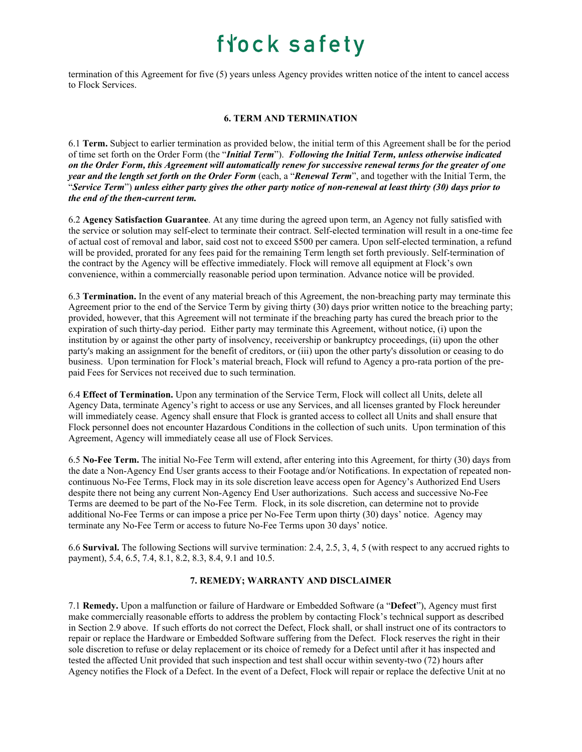termination of this Agreement for five (5) years unless Agency provides written notice of the intent to cancel access to Flock Services.

### **6. TERM AND TERMINATION**

6.1 **Term.** Subject to earlier termination as provided below, the initial term of this Agreement shall be for the period of time set forth on the Order Form (the "*Initial Term*"). *Following the Initial Term, unless otherwise indicated on the Order Form, this Agreement will automatically renew for successive renewal terms for the greater of one year and the length set forth on the Order Form* (each, a "*Renewal Term*", and together with the Initial Term, the "*Service Term*") *unless either party gives the other party notice of non-renewal at least thirty (30) days prior to the end of the then-current term.*

6.2 **Agency Satisfaction Guarantee**. At any time during the agreed upon term, an Agency not fully satisfied with the service or solution may self-elect to terminate their contract. Self-elected termination will result in a one-time fee of actual cost of removal and labor, said cost not to exceed \$500 per camera. Upon self-elected termination, a refund will be provided, prorated for any fees paid for the remaining Term length set forth previously. Self-termination of the contract by the Agency will be effective immediately. Flock will remove all equipment at Flock's own convenience, within a commercially reasonable period upon termination. Advance notice will be provided.

6.3 **Termination.** In the event of any material breach of this Agreement, the non-breaching party may terminate this Agreement prior to the end of the Service Term by giving thirty (30) days prior written notice to the breaching party; provided, however, that this Agreement will not terminate if the breaching party has cured the breach prior to the expiration of such thirty-day period. Either party may terminate this Agreement, without notice, (i) upon the institution by or against the other party of insolvency, receivership or bankruptcy proceedings, (ii) upon the other party's making an assignment for the benefit of creditors, or (iii) upon the other party's dissolution or ceasing to do business. Upon termination for Flock's material breach, Flock will refund to Agency a pro-rata portion of the prepaid Fees for Services not received due to such termination.

6.4 **Effect of Termination.** Upon any termination of the Service Term, Flock will collect all Units, delete all Agency Data, terminate Agency's right to access or use any Services, and all licenses granted by Flock hereunder will immediately cease. Agency shall ensure that Flock is granted access to collect all Units and shall ensure that Flock personnel does not encounter Hazardous Conditions in the collection of such units. Upon termination of this Agreement, Agency will immediately cease all use of Flock Services.

6.5 **No-Fee Term.** The initial No-Fee Term will extend, after entering into this Agreement, for thirty (30) days from the date a Non-Agency End User grants access to their Footage and/or Notifications. In expectation of repeated noncontinuous No-Fee Terms, Flock may in its sole discretion leave access open for Agency's Authorized End Users despite there not being any current Non-Agency End User authorizations. Such access and successive No-Fee Terms are deemed to be part of the No-Fee Term. Flock, in its sole discretion, can determine not to provide additional No-Fee Terms or can impose a price per No-Fee Term upon thirty (30) days' notice. Agency may terminate any No-Fee Term or access to future No-Fee Terms upon 30 days' notice.

6.6 **Survival.** The following Sections will survive termination: 2.4, 2.5, 3, 4, 5 (with respect to any accrued rights to payment), 5.4, 6.5, 7.4, 8.1, 8.2, 8.3, 8.4, 9.1 and 10.5.

### **7. REMEDY; WARRANTY AND DISCLAIMER**

7.1 **Remedy.** Upon a malfunction or failure of Hardware or Embedded Software (a "**Defect**"), Agency must first make commercially reasonable efforts to address the problem by contacting Flock's technical support as described in Section 2.9 above. If such efforts do not correct the Defect, Flock shall, or shall instruct one of its contractors to repair or replace the Hardware or Embedded Software suffering from the Defect. Flock reserves the right in their sole discretion to refuse or delay replacement or its choice of remedy for a Defect until after it has inspected and tested the affected Unit provided that such inspection and test shall occur within seventy-two (72) hours after Agency notifies the Flock of a Defect. In the event of a Defect, Flock will repair or replace the defective Unit at no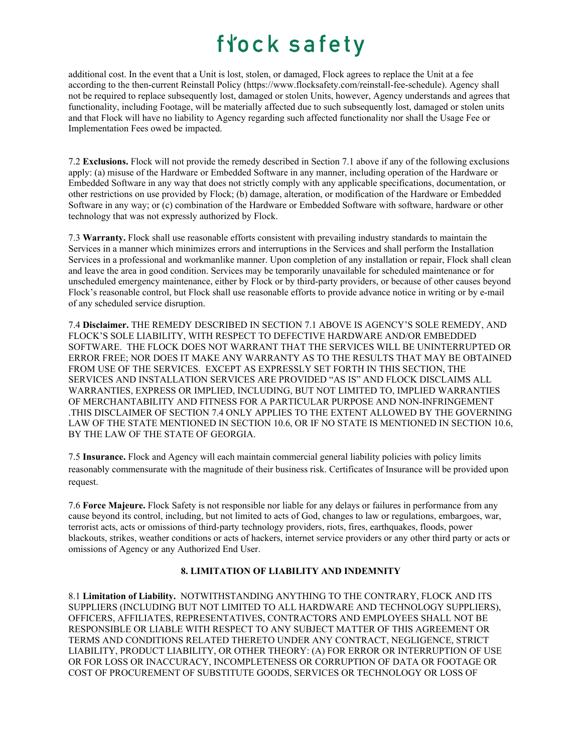additional cost. In the event that a Unit is lost, stolen, or damaged, Flock agrees to replace the Unit at a fee according to the then-current Reinstall Policy (https://www.flocksafety.com/reinstall-fee-schedule). Agency shall not be required to replace subsequently lost, damaged or stolen Units, however, Agency understands and agrees that functionality, including Footage, will be materially affected due to such subsequently lost, damaged or stolen units and that Flock will have no liability to Agency regarding such affected functionality nor shall the Usage Fee or Implementation Fees owed be impacted.

7.2 **Exclusions.** Flock will not provide the remedy described in Section 7.1 above if any of the following exclusions apply: (a) misuse of the Hardware or Embedded Software in any manner, including operation of the Hardware or Embedded Software in any way that does not strictly comply with any applicable specifications, documentation, or other restrictions on use provided by Flock; (b) damage, alteration, or modification of the Hardware or Embedded Software in any way; or (c) combination of the Hardware or Embedded Software with software, hardware or other technology that was not expressly authorized by Flock.

7.3 **Warranty.** Flock shall use reasonable efforts consistent with prevailing industry standards to maintain the Services in a manner which minimizes errors and interruptions in the Services and shall perform the Installation Services in a professional and workmanlike manner. Upon completion of any installation or repair, Flock shall clean and leave the area in good condition. Services may be temporarily unavailable for scheduled maintenance or for unscheduled emergency maintenance, either by Flock or by third-party providers, or because of other causes beyond Flock's reasonable control, but Flock shall use reasonable efforts to provide advance notice in writing or by e-mail of any scheduled service disruption.

7.4 **Disclaimer.** THE REMEDY DESCRIBED IN SECTION 7.1 ABOVE IS AGENCY'S SOLE REMEDY, AND FLOCK'S SOLE LIABILITY, WITH RESPECT TO DEFECTIVE HARDWARE AND/OR EMBEDDED SOFTWARE. THE FLOCK DOES NOT WARRANT THAT THE SERVICES WILL BE UNINTERRUPTED OR ERROR FREE; NOR DOES IT MAKE ANY WARRANTY AS TO THE RESULTS THAT MAY BE OBTAINED FROM USE OF THE SERVICES. EXCEPT AS EXPRESSLY SET FORTH IN THIS SECTION, THE SERVICES AND INSTALLATION SERVICES ARE PROVIDED "AS IS" AND FLOCK DISCLAIMS ALL WARRANTIES, EXPRESS OR IMPLIED, INCLUDING, BUT NOT LIMITED TO, IMPLIED WARRANTIES OF MERCHANTABILITY AND FITNESS FOR A PARTICULAR PURPOSE AND NON-INFRINGEMENT .THIS DISCLAIMER OF SECTION 7.4 ONLY APPLIES TO THE EXTENT ALLOWED BY THE GOVERNING LAW OF THE STATE MENTIONED IN SECTION 10.6, OR IF NO STATE IS MENTIONED IN SECTION 10.6, BY THE LAW OF THE STATE OF GEORGIA.

7.5 **Insurance.** Flock and Agency will each maintain commercial general liability policies with policy limits reasonably commensurate with the magnitude of their business risk. Certificates of Insurance will be provided upon request.

7.6 **Force Majeure.** Flock Safety is not responsible nor liable for any delays or failures in performance from any cause beyond its control, including, but not limited to acts of God, changes to law or regulations, embargoes, war, terrorist acts, acts or omissions of third-party technology providers, riots, fires, earthquakes, floods, power blackouts, strikes, weather conditions or acts of hackers, internet service providers or any other third party or acts or omissions of Agency or any Authorized End User.

### **8. LIMITATION OF LIABILITY AND INDEMNITY**

8.1 **Limitation of Liability.** NOTWITHSTANDING ANYTHING TO THE CONTRARY, FLOCK AND ITS SUPPLIERS (INCLUDING BUT NOT LIMITED TO ALL HARDWARE AND TECHNOLOGY SUPPLIERS), OFFICERS, AFFILIATES, REPRESENTATIVES, CONTRACTORS AND EMPLOYEES SHALL NOT BE RESPONSIBLE OR LIABLE WITH RESPECT TO ANY SUBJECT MATTER OF THIS AGREEMENT OR TERMS AND CONDITIONS RELATED THERETO UNDER ANY CONTRACT, NEGLIGENCE, STRICT LIABILITY, PRODUCT LIABILITY, OR OTHER THEORY: (A) FOR ERROR OR INTERRUPTION OF USE OR FOR LOSS OR INACCURACY, INCOMPLETENESS OR CORRUPTION OF DATA OR FOOTAGE OR COST OF PROCUREMENT OF SUBSTITUTE GOODS, SERVICES OR TECHNOLOGY OR LOSS OF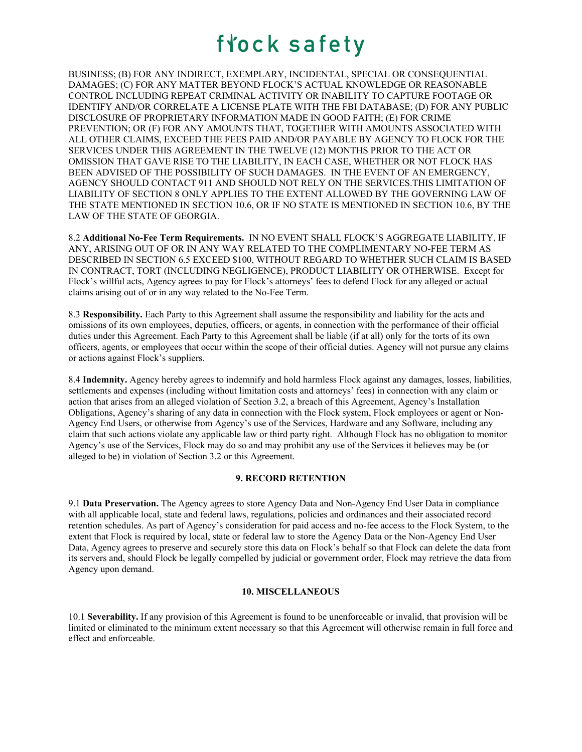BUSINESS; (B) FOR ANY INDIRECT, EXEMPLARY, INCIDENTAL, SPECIAL OR CONSEQUENTIAL DAMAGES; (C) FOR ANY MATTER BEYOND FLOCK'S ACTUAL KNOWLEDGE OR REASONABLE CONTROL INCLUDING REPEAT CRIMINAL ACTIVITY OR INABILITY TO CAPTURE FOOTAGE OR IDENTIFY AND/OR CORRELATE A LICENSE PLATE WITH THE FBI DATABASE; (D) FOR ANY PUBLIC DISCLOSURE OF PROPRIETARY INFORMATION MADE IN GOOD FAITH; (E) FOR CRIME PREVENTION; OR (F) FOR ANY AMOUNTS THAT, TOGETHER WITH AMOUNTS ASSOCIATED WITH ALL OTHER CLAIMS, EXCEED THE FEES PAID AND/OR PAYABLE BY AGENCY TO FLOCK FOR THE SERVICES UNDER THIS AGREEMENT IN THE TWELVE (12) MONTHS PRIOR TO THE ACT OR OMISSION THAT GAVE RISE TO THE LIABILITY, IN EACH CASE, WHETHER OR NOT FLOCK HAS BEEN ADVISED OF THE POSSIBILITY OF SUCH DAMAGES. IN THE EVENT OF AN EMERGENCY, AGENCY SHOULD CONTACT 911 AND SHOULD NOT RELY ON THE SERVICES.THIS LIMITATION OF LIABILITY OF SECTION 8 ONLY APPLIES TO THE EXTENT ALLOWED BY THE GOVERNING LAW OF THE STATE MENTIONED IN SECTION 10.6, OR IF NO STATE IS MENTIONED IN SECTION 10.6, BY THE LAW OF THE STATE OF GEORGIA.

8.2 **Additional No-Fee Term Requirements.** IN NO EVENT SHALL FLOCK'S AGGREGATE LIABILITY, IF ANY, ARISING OUT OF OR IN ANY WAY RELATED TO THE COMPLIMENTARY NO-FEE TERM AS DESCRIBED IN SECTION 6.5 EXCEED \$100, WITHOUT REGARD TO WHETHER SUCH CLAIM IS BASED IN CONTRACT, TORT (INCLUDING NEGLIGENCE), PRODUCT LIABILITY OR OTHERWISE. Except for Flock's willful acts, Agency agrees to pay for Flock's attorneys' fees to defend Flock for any alleged or actual claims arising out of or in any way related to the No-Fee Term.

8.3 **Responsibility.** Each Party to this Agreement shall assume the responsibility and liability for the acts and omissions of its own employees, deputies, officers, or agents, in connection with the performance of their official duties under this Agreement. Each Party to this Agreement shall be liable (if at all) only for the torts of its own officers, agents, or employees that occur within the scope of their official duties. Agency will not pursue any claims or actions against Flock's suppliers.

8.4 **Indemnity.** Agency hereby agrees to indemnify and hold harmless Flock against any damages, losses, liabilities, settlements and expenses (including without limitation costs and attorneys' fees) in connection with any claim or action that arises from an alleged violation of Section 3.2, a breach of this Agreement, Agency's Installation Obligations, Agency's sharing of any data in connection with the Flock system, Flock employees or agent or Non-Agency End Users, or otherwise from Agency's use of the Services, Hardware and any Software, including any claim that such actions violate any applicable law or third party right. Although Flock has no obligation to monitor Agency's use of the Services, Flock may do so and may prohibit any use of the Services it believes may be (or alleged to be) in violation of Section 3.2 or this Agreement.

### **9. RECORD RETENTION**

9.1 **Data Preservation.** The Agency agrees to store Agency Data and Non-Agency End User Data in compliance with all applicable local, state and federal laws, regulations, policies and ordinances and their associated record retention schedules. As part of Agency's consideration for paid access and no-fee access to the Flock System, to the extent that Flock is required by local, state or federal law to store the Agency Data or the Non-Agency End User Data, Agency agrees to preserve and securely store this data on Flock's behalf so that Flock can delete the data from its servers and, should Flock be legally compelled by judicial or government order, Flock may retrieve the data from Agency upon demand.

#### **10. MISCELLANEOUS**

10.1 **Severability.** If any provision of this Agreement is found to be unenforceable or invalid, that provision will be limited or eliminated to the minimum extent necessary so that this Agreement will otherwise remain in full force and effect and enforceable.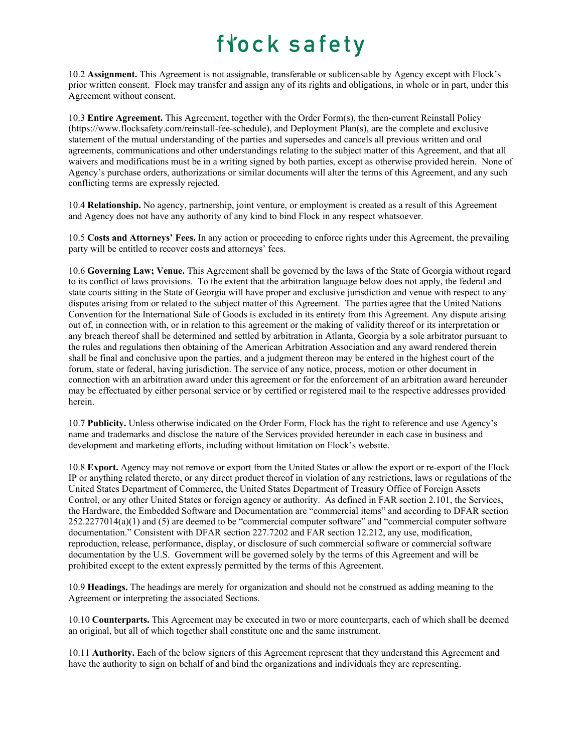10.2 **Assignment.** This Agreement is not assignable, transferable or sublicensable by Agency except with Flock's prior written consent. Flock may transfer and assign any of its rights and obligations, in whole or in part, under this Agreement without consent.

10.3 **Entire Agreement.** This Agreement, together with the Order Form(s), the then-current Reinstall Policy (https://www.flocksafety.com/reinstall-fee-schedule), and Deployment Plan(s), are the complete and exclusive statement of the mutual understanding of the parties and supersedes and cancels all previous written and oral agreements, communications and other understandings relating to the subject matter of this Agreement, and that all waivers and modifications must be in a writing signed by both parties, except as otherwise provided herein. None of Agency's purchase orders, authorizations or similar documents will alter the terms of this Agreement, and any such conflicting terms are expressly rejected.

10.4 **Relationship.** No agency, partnership, joint venture, or employment is created as a result of this Agreement and Agency does not have any authority of any kind to bind Flock in any respect whatsoever.

10.5 **Costs and Attorneys' Fees.** In any action or proceeding to enforce rights under this Agreement, the prevailing party will be entitled to recover costs and attorneys' fees.

10.6 **Governing Law; Venue.** This Agreement shall be governed by the laws of the State of Georgia without regard to its conflict of laws provisions. To the extent that the arbitration language below does not apply, the federal and state courts sitting in the State of Georgia will have proper and exclusive jurisdiction and venue with respect to any disputes arising from or related to the subject matter of this Agreement. The parties agree that the United Nations Convention for the International Sale of Goods is excluded in its entirety from this Agreement. Any dispute arising out of, in connection with, or in relation to this agreement or the making of validity thereof or its interpretation or any breach thereof shall be determined and settled by arbitration in Atlanta, Georgia by a sole arbitrator pursuant to the rules and regulations then obtaining of the American Arbitration Association and any award rendered therein shall be final and conclusive upon the parties, and a judgment thereon may be entered in the highest court of the forum, state or federal, having jurisdiction. The service of any notice, process, motion or other document in connection with an arbitration award under this agreement or for the enforcement of an arbitration award hereunder may be effectuated by either personal service or by certified or registered mail to the respective addresses provided herein.

10.7 **Publicity.** Unless otherwise indicated on the Order Form, Flock has the right to reference and use Agency's name and trademarks and disclose the nature of the Services provided hereunder in each case in business and development and marketing efforts, including without limitation on Flock's website.

10.8 **Export.** Agency may not remove or export from the United States or allow the export or re-export of the Flock IP or anything related thereto, or any direct product thereof in violation of any restrictions, laws or regulations of the United States Department of Commerce, the United States Department of Treasury Office of Foreign Assets Control, or any other United States or foreign agency or authority. As defined in FAR section 2.101, the Services, the Hardware, the Embedded Software and Documentation are "commercial items" and according to DFAR section 252.2277014(a)(1) and (5) are deemed to be "commercial computer software" and "commercial computer software documentation." Consistent with DFAR section 227.7202 and FAR section 12.212, any use, modification, reproduction, release, performance, display, or disclosure of such commercial software or commercial software documentation by the U.S. Government will be governed solely by the terms of this Agreement and will be prohibited except to the extent expressly permitted by the terms of this Agreement.

10.9 **Headings.** The headings are merely for organization and should not be construed as adding meaning to the Agreement or interpreting the associated Sections.

10.10 **Counterparts.** This Agreement may be executed in two or more counterparts, each of which shall be deemed an original, but all of which together shall constitute one and the same instrument.

10.11 **Authority.** Each of the below signers of this Agreement represent that they understand this Agreement and have the authority to sign on behalf of and bind the organizations and individuals they are representing.